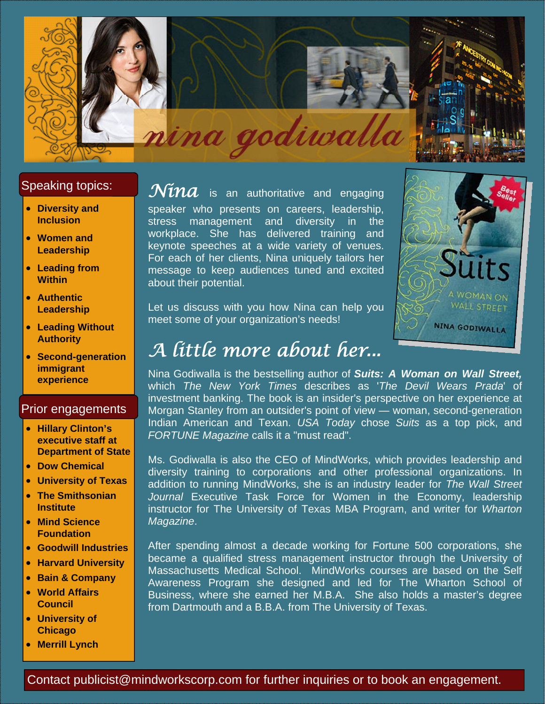

#### Speaking topics:

- **Diversity and Inclusion**
- **Women and Leadership**
- **Leading from Within**
- **Authentic Leadership**
- **Leading Without Authority**
- **Second-generation immigrant experience**

#### Prior engagements

- **Hillary Clinton's executive staff at Department of State**
- **Dow Chemical**
- **University of Texas**
- **The Smithsonian Institute**
- **Mind Science Foundation**
- **Goodwill Industries**
- **Harvard University**
- **Bain & Company**
- **World Affairs Council**
- **University of Chicago**
- **Merrill Lynch**

 $\widetilde{\mathcal{N}$ *ina* is an authoritative and engaging speaker who presents on careers, leadership, stress management and diversity in the workplace. She has delivered training and keynote speeches at a wide variety of venues. For each of her clients, Nina uniquely tailors her message to keep audiences tuned and excited about their potential.

Let us discuss with you how Nina can help you meet some of your organization's needs!



# *A little more about her...*

Nina Godiwalla is the bestselling author of *Suits: A Woman on Wall Street,* which *The New York Times* describes as '*The Devil Wears Prada*' of investment banking. The book is an insider's perspective on her experience at Morgan Stanley from an outsider's point of view — woman, second-generation Indian American and Texan. *USA Today* chose *Suits* as a top pick, and *FORTUNE Magazine* calls it a "must read".

Ms. Godiwalla is also the CEO of MindWorks, which provides leadership and diversity training to corporations and other professional organizations. In addition to running MindWorks, she is an industry leader for *The Wall Street Journal* Executive Task Force for Women in the Economy, leadership instructor for The University of Texas MBA Program, and writer for *Wharton Magazine*.

After spending almost a decade working for Fortune 500 corporations, she became a qualified stress management instructor through the University of Massachusetts Medical School. MindWorks courses are based on the Self Awareness Program she designed and led for The Wharton School of Business, where she earned her M.B.A. She also holds a master's degree from Dartmouth and a B.B.A. from The University of Texas.